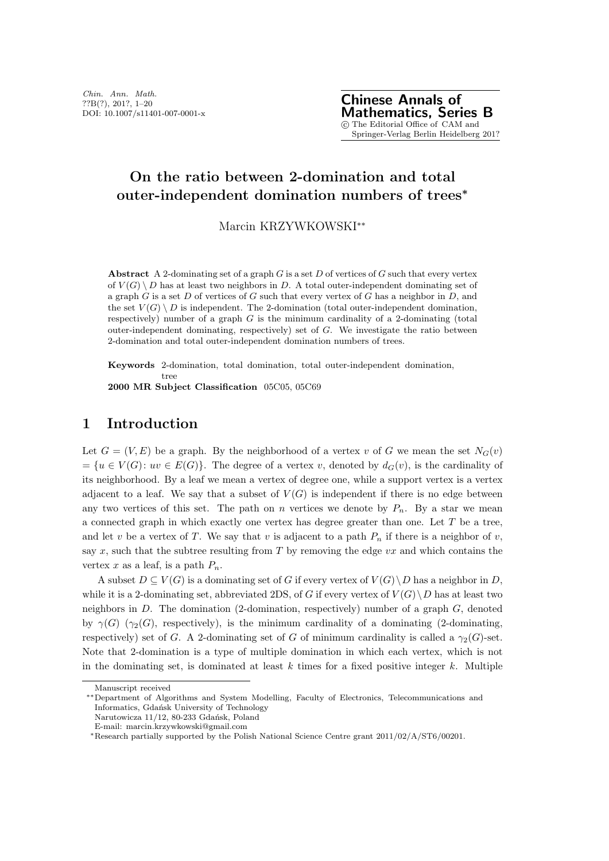# **On the ratio between 2-domination and total outer-independent domination numbers of trees***<sup>∗</sup>*

Marcin KRZYWKOWSKI*∗∗*

**Abstract** A 2-dominating set of a graph *G* is a set *D* of vertices of *G* such that every vertex of  $V(G) \setminus D$  has at least two neighbors in *D*. A total outer-independent dominating set of a graph *G* is a set *D* of vertices of *G* such that every vertex of *G* has a neighbor in *D*, and the set  $V(G) \setminus D$  is independent. The 2-domination (total outer-independent domination, respectively) number of a graph *G* is the minimum cardinality of a 2-dominating (total outer-independent dominating, respectively) set of *G*. We investigate the ratio between 2-domination and total outer-independent domination numbers of trees.

**Keywords** 2-domination, total domination, total outer-independent domination, tree **2000 MR Subject Classification** 05C05, 05C69

## **1 Introduction**

Let  $G = (V, E)$  be a graph. By the neighborhood of a vertex *v* of *G* we mean the set  $N_G(v)$  $= \{u \in V(G): uv \in E(G)\}.$  The degree of a vertex *v*, denoted by  $d_G(v)$ , is the cardinality of its neighborhood. By a leaf we mean a vertex of degree one, while a support vertex is a vertex adjacent to a leaf. We say that a subset of  $V(G)$  is independent if there is no edge between any two vertices of this set. The path on *n* vertices we denote by  $P_n$ . By a star we mean a connected graph in which exactly one vertex has degree greater than one. Let *T* be a tree, and let *v* be a vertex of *T*. We say that *v* is adjacent to a path  $P_n$  if there is a neighbor of *v*, say *x*, such that the subtree resulting from *T* by removing the edge *vx* and which contains the vertex  $x$  as a leaf, is a path  $P_n$ .

A subset *D* ⊆ *V*(*G*) is a dominating set of *G* if every vertex of *V*(*G*)  $\setminus$ *D* has a neighbor in *D*, while it is a 2-dominating set, abbreviated 2DS, of *G* if every vertex of  $V(G) \backslash D$  has at least two neighbors in *D*. The domination (2-domination, respectively) number of a graph *G*, denoted by  $\gamma(G)$  ( $\gamma_2(G)$ , respectively), is the minimum cardinality of a dominating (2-dominating, respectively) set of *G*. A 2-dominating set of *G* of minimum cardinality is called a  $\gamma_2(G)$ -set. Note that 2-domination is a type of multiple domination in which each vertex, which is not in the dominating set, is dominated at least  $k$  times for a fixed positive integer  $k$ . Multiple

Manuscript received

*<sup>∗∗</sup>*Department of Algorithms and System Modelling, Faculty of Electronics, Telecommunications and Informatics, Gdańsk University of Technology

Narutowicza 11/12, 80-233 Gdańsk, Poland

E-mail: marcin.krzywkowski@gmail.com

*<sup>∗</sup>*Research partially supported by the Polish National Science Centre grant 2011/02/A/ST6/00201.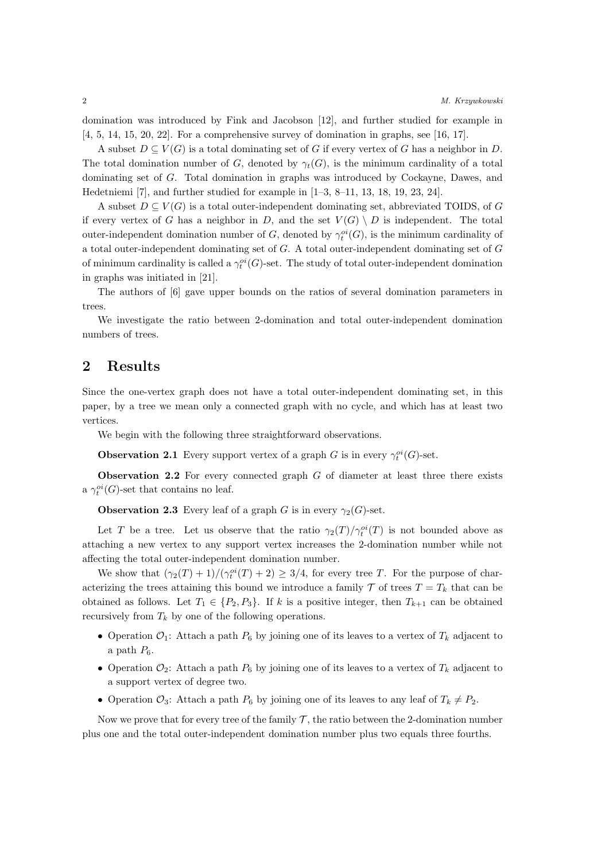domination was introduced by Fink and Jacobson [12], and further studied for example in [4, 5, 14, 15, 20, 22]. For a comprehensive survey of domination in graphs, see [16, 17].

A subset  $D \subseteq V(G)$  is a total dominating set of *G* if every vertex of *G* has a neighbor in *D*. The total domination number of *G*, denoted by  $\gamma_t(G)$ , is the minimum cardinality of a total dominating set of *G*. Total domination in graphs was introduced by Cockayne, Dawes, and Hedetniemi [7], and further studied for example in [1–3, 8–11, 13, 18, 19, 23, 24].

A subset  $D \subseteq V(G)$  is a total outer-independent dominating set, abbreviated TOIDS, of *G* if every vertex of *G* has a neighbor in *D*, and the set  $V(G) \setminus D$  is independent. The total outer-independent domination number of *G*, denoted by  $\gamma_t^{oi}(G)$ , is the minimum cardinality of a total outer-independent dominating set of *G*. A total outer-independent dominating set of *G* of minimum cardinality is called a  $\gamma_t^{oi}(G)$ -set. The study of total outer-independent domination in graphs was initiated in [21].

The authors of [6] gave upper bounds on the ratios of several domination parameters in trees.

We investigate the ratio between 2-domination and total outer-independent domination numbers of trees.

### **2 Results**

Since the one-vertex graph does not have a total outer-independent dominating set, in this paper, by a tree we mean only a connected graph with no cycle, and which has at least two vertices.

We begin with the following three straightforward observations.

**Observation 2.1** Every support vertex of a graph *G* is in every  $\gamma_t^{oi}(G)$ -set.

**Observation 2.2** For every connected graph *G* of diameter at least three there exists a  $\gamma_t^{oi}(G)$ -set that contains no leaf.

**Observation 2.3** Every leaf of a graph *G* is in every  $\gamma_2(G)$ -set.

Let *T* be a tree. Let us observe that the ratio  $\gamma_2(T)/\gamma_t^{oi}(T)$  is not bounded above as attaching a new vertex to any support vertex increases the 2-domination number while not affecting the total outer-independent domination number.

We show that  $(\gamma_2(T) + 1)/(\gamma_t^{oi}(T) + 2) \geq 3/4$ , for every tree *T*. For the purpose of characterizing the trees attaining this bound we introduce a family  $\mathcal{T}$  of trees  $T = T_k$  that can be obtained as follows. Let  $T_1 \in \{P_2, P_3\}$ . If *k* is a positive integer, then  $T_{k+1}$  can be obtained recursively from  $T_k$  by one of the following operations.

- Operation  $\mathcal{O}_1$ : Attach a path  $P_6$  by joining one of its leaves to a vertex of  $T_k$  adjacent to a path  $P_6$ .
- Operation  $\mathcal{O}_2$ : Attach a path  $P_6$  by joining one of its leaves to a vertex of  $T_k$  adjacent to a support vertex of degree two.
- Operation  $\mathcal{O}_3$ : Attach a path  $P_6$  by joining one of its leaves to any leaf of  $T_k \neq P_2$ .

Now we prove that for every tree of the family  $\mathcal{T}$ , the ratio between the 2-domination number plus one and the total outer-independent domination number plus two equals three fourths.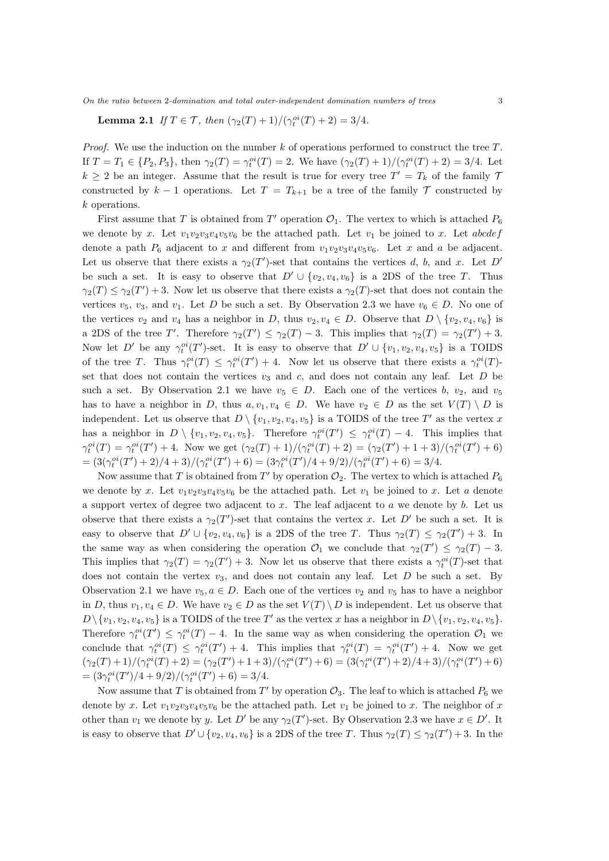*On the ratio between* 2*-domination and total outer-independent domination numbers of trees* 3

**Lemma 2.1** *If*  $T \in \mathcal{T}$ *, then*  $(\gamma_2(T) + 1) / (\gamma_t^{oi}(T) + 2) = 3/4$ *.* 

*Proof.* We use the induction on the number *k* of operations performed to construct the tree *T*. If  $T = T_1 \in \{P_2, P_3\}$ , then  $\gamma_2(T) = \gamma_t^{oi}(T) = 2$ . We have  $(\gamma_2(T) + 1)/(\gamma_t^{oi}(T) + 2) = 3/4$ . Let  $k \geq 2$  be an integer. Assume that the result is true for every tree  $T' = T_k$  of the family 7 constructed by  $k-1$  operations. Let  $T = T_{k+1}$  be a tree of the family  $T$  constructed by *k* operations.

First assume that *T* is obtained from *T'* operation  $\mathcal{O}_1$ . The vertex to which is attached  $P_6$ we denote by x. Let  $v_1v_2v_3v_4v_5v_6$  be the attached path. Let  $v_1$  be joined to x. Let *abcdef* denote a path  $P_6$  adjacent to *x* and different from  $v_1v_2v_3v_4v_5v_6$ . Let *x* and *a* be adjacent. Let us observe that there exists a  $\gamma_2(T')$ -set that contains the vertices *d*, *b*, and *x*. Let *D'* be such a set. It is easy to observe that  $D' \cup \{v_2, v_4, v_6\}$  is a 2DS of the tree *T*. Thus  $\gamma_2(T) \leq \gamma_2(T') + 3$ . Now let us observe that there exists a  $\gamma_2(T)$ -set that does not contain the vertices  $v_5$ ,  $v_3$ , and  $v_1$ . Let *D* be such a set. By Observation 2.3 we have  $v_6 \in D$ . No one of the vertices  $v_2$  and  $v_4$  has a neighbor in *D*, thus  $v_2, v_4 \in D$ . Observe that  $D \setminus \{v_2, v_4, v_6\}$  is a 2DS of the tree *T'*. Therefore  $\gamma_2(T') \leq \gamma_2(T) - 3$ . This implies that  $\gamma_2(T) = \gamma_2(T') + 3$ . Now let *D'* be any  $\gamma_t^{oi}(T')$ -set. It is easy to observe that  $D' \cup \{v_1, v_2, v_4, v_5\}$  is a TOIDS of the tree *T*. Thus  $\gamma_t^{oi}(T) \leq \gamma_t^{oi}(T') + 4$ . Now let us observe that there exists a  $\gamma_t^{oi}(T)$ set that does not contain the vertices  $v_3$  and  $c$ , and does not contain any leaf. Let  $D$  be such a set. By Observation 2.1 we have  $v_5 \in D$ . Each one of the vertices *b*,  $v_2$ , and  $v_5$ has to have a neighbor in *D*, thus  $a, v_1, v_4 \in D$ . We have  $v_2 \in D$  as the set  $V(T) \setminus D$  is independent. Let us observe that  $D \setminus \{v_1, v_2, v_4, v_5\}$  is a TOIDS of the tree  $T'$  as the vertex *x* has a neighbor in  $D \setminus \{v_1, v_2, v_4, v_5\}$ . Therefore  $\gamma_t^{oi}(T') \leq \gamma_t^{oi}(T) - 4$ . This implies that  $\gamma_t^{oi}(T) = \gamma_t^{oi}(T') + 4$ . Now we get  $(\gamma_2(T) + 1)/(\gamma_t^{oi}(T) + 2) = (\gamma_2(T') + 1 + 3)/(\gamma_t^{oi}(T') + 6)$  $= (3(\gamma_t^{oi}(T')+2)/4+3)/(\gamma_t^{oi}(T')+6) = (3\gamma_t^{oi}(T')/4+9/2)/(\gamma_t^{oi}(T')+6) = 3/4.$ 

Now assume that *T* is obtained from  $T'$  by operation  $\mathcal{O}_2$ . The vertex to which is attached  $P_6$ we denote by *x*. Let  $v_1v_2v_3v_4v_5v_6$  be the attached path. Let  $v_1$  be joined to *x*. Let *a* denote a support vertex of degree two adjacent to *x*. The leaf adjacent to *a* we denote by *b*. Let us observe that there exists a  $\gamma_2(T')$ -set that contains the vertex *x*. Let *D'* be such a set. It is easy to observe that  $D' \cup \{v_2, v_4, v_6\}$  is a 2DS of the tree *T*. Thus  $\gamma_2(T) \leq \gamma_2(T') + 3$ . In the same way as when considering the operation  $\mathcal{O}_1$  we conclude that  $\gamma_2(T') \leq \gamma_2(T) - 3$ . This implies that  $\gamma_2(T) = \gamma_2(T') + 3$ . Now let us observe that there exists a  $\gamma_t^{oi}(T)$ -set that does not contain the vertex  $v_3$ , and does not contain any leaf. Let  $D$  be such a set. By Observation 2.1 we have  $v_5, a \in D$ . Each one of the vertices  $v_2$  and  $v_5$  has to have a neighbor in *D*, thus  $v_1, v_4 \in D$ . We have  $v_2 \in D$  as the set  $V(T) \setminus D$  is independent. Let us observe that  $D\setminus \{v_1, v_2, v_4, v_5\}$  is a TOIDS of the tree *T*' as the vertex *x* has a neighbor in  $D\setminus \{v_1, v_2, v_4, v_5\}$ . Therefore  $\gamma_t^{oi}(T') \leq \gamma_t^{oi}(T) - 4$ . In the same way as when considering the operation  $\mathcal{O}_1$  we conclude that  $\gamma_t^{oi}(T) \leq \gamma_t^{oi}(T') + 4$ . This implies that  $\gamma_t^{oi}(T) = \gamma_t^{oi}(T') + 4$ . Now we get  $(\gamma_2(T)+1)/(\gamma_t^{oi}(T)+2)=(\gamma_2(T')+1+3)/(\gamma_t^{oi}(T')+6)=(3(\gamma_t^{oi}(T')+2)/4+3)/(\gamma_t^{oi}(T')+6)$  $= (3\gamma_t^{oi}(T')/4 + 9/2)/(\gamma_t^{oi}(T') + 6) = 3/4.$ 

Now assume that *T* is obtained from  $T'$  by operation  $\mathcal{O}_3$ . The leaf to which is attached  $P_6$  we denote by *x*. Let  $v_1v_2v_3v_4v_5v_6$  be the attached path. Let  $v_1$  be joined to *x*. The neighbor of *x* other than  $v_1$  we denote by *y*. Let  $D'$  be any  $\gamma_2(T')$ -set. By Observation 2.3 we have  $x \in D'$ . It is easy to observe that  $D' \cup \{v_2, v_4, v_6\}$  is a 2DS of the tree *T*. Thus  $\gamma_2(T) \leq \gamma_2(T') + 3$ . In the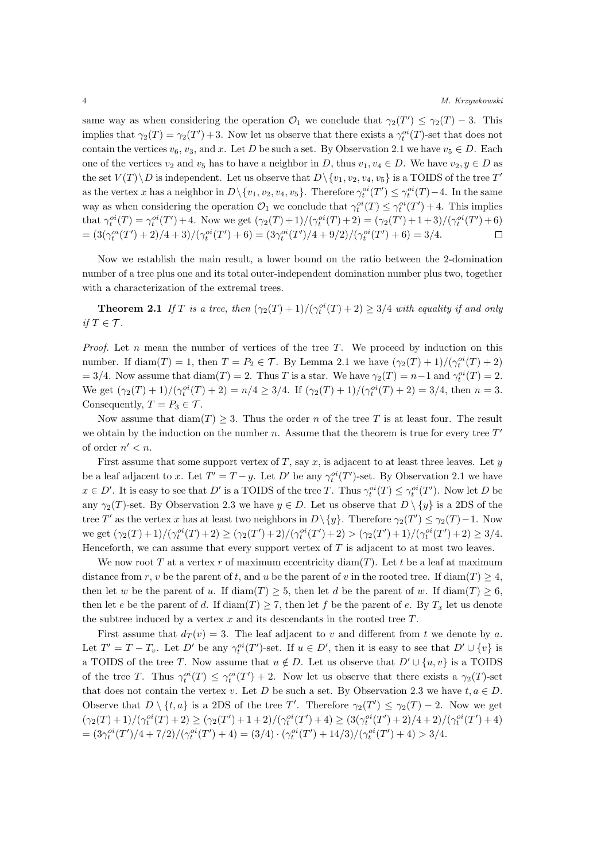same way as when considering the operation  $\mathcal{O}_1$  we conclude that  $\gamma_2(T') \leq \gamma_2(T) - 3$ . This implies that  $\gamma_2(T) = \gamma_2(T') + 3$ . Now let us observe that there exists a  $\gamma_t^{oi}(T)$ -set that does not contain the vertices  $v_6$ ,  $v_3$ , and *x*. Let *D* be such a set. By Observation 2.1 we have  $v_5 \in D$ . Each one of the vertices  $v_2$  and  $v_5$  has to have a neighbor in *D*, thus  $v_1, v_4 \in D$ . We have  $v_2, y \in D$  as the set  $V(T) \setminus D$  is independent. Let us observe that  $D \setminus \{v_1, v_2, v_4, v_5\}$  is a TOIDS of the tree  $T'$ as the vertex x has a neighbor in  $D \setminus \{v_1, v_2, v_4, v_5\}$ . Therefore  $\gamma_t^{oi}(T') \leq \gamma_t^{oi}(T) - 4$ . In the same way as when considering the operation  $\mathcal{O}_1$  we conclude that  $\gamma_t^{oi}(T) \leq \gamma_t^{oi}(T') + 4$ . This implies that  $\gamma_t^{oi}(T) = \gamma_t^{oi}(T') + 4$ . Now we get  $(\gamma_2(T) + 1)/(\gamma_t^{oi}(T) + 2) = (\gamma_2(T') + 1 + 3)/(\gamma_t^{oi}(T') + 6)$  $= (3(\gamma_t^{oi}(T')+2)/4+3)/(\gamma_t^{oi}(T')+6) = (3\gamma_t^{oi}(T')/4+9/2)/(\gamma_t^{oi}(T')+6) = 3/4.$  $\Box$ 

Now we establish the main result, a lower bound on the ratio between the 2-domination number of a tree plus one and its total outer-independent domination number plus two, together with a characterization of the extremal trees.

**Theorem 2.1** *If T is a tree, then*  $(\gamma_2(T) + 1) / (\gamma_t^{oi}(T) + 2) \geq 3/4$  *with equality if and only if*  $T \in \mathcal{T}$ *.* 

*Proof.* Let *n* mean the number of vertices of the tree *T*. We proceed by induction on this number. If  $\text{diam}(T) = 1$ , then  $T = P_2 \in \mathcal{T}$ . By Lemma 2.1 we have  $(\gamma_2(T) + 1)/(\gamma_t^{oi}(T) + 2)$  $= 3/4$ . Now assume that  $\text{diam}(T) = 2$ . Thus *T* is a star. We have  $\gamma_2(T) = n - 1$  and  $\gamma_t^{oi}(T) = 2$ . We get  $(\gamma_2(T) + 1)/(\gamma_t^{oi}(T) + 2) = n/4 \ge 3/4$ . If  $(\gamma_2(T) + 1)/(\gamma_t^{oi}(T) + 2) = 3/4$ , then  $n = 3$ . Consequently,  $T = P_3 \in \mathcal{T}$ .

Now assume that  $\text{diam}(T) \geq 3$ . Thus the order *n* of the tree *T* is at least four. The result we obtain by the induction on the number *n*. Assume that the theorem is true for every tree *T ′* of order  $n' < n$ .

First assume that some support vertex of  $T$ , say  $x$ , is adjacent to at least three leaves. Let  $y$ be a leaf adjacent to *x*. Let  $T' = T - y$ . Let  $D'$  be any  $\gamma_t^{oi}(T')$ -set. By Observation 2.1 we have  $x \in D'$ . It is easy to see that D' is a TOIDS of the tree T. Thus  $\gamma_t^{oi}(T) \leq \gamma_t^{oi}(T')$ . Now let D be any  $\gamma_2(T)$ -set. By Observation 2.3 we have  $y \in D$ . Let us observe that  $D \setminus \{y\}$  is a 2DS of the tree *T'* as the vertex *x* has at least two neighbors in  $D \setminus \{y\}$ . Therefore  $\gamma_2(T') \leq \gamma_2(T) - 1$ . Now we get  $(\gamma_2(T)+1)/(\gamma_t^{oi}(T)+2) \ge (\gamma_2(T')+2)/(\gamma_t^{oi}(T')+2) > (\gamma_2(T')+1)/(\gamma_t^{oi}(T')+2) \ge 3/4$ . Henceforth, we can assume that every support vertex of *T* is adjacent to at most two leaves.

We now root *T* at a vertex *r* of maximum eccentricity diam(*T*). Let *t* be a leaf at maximum distance from *r*, *v* be the parent of *t*, and *u* be the parent of *v* in the rooted tree. If diam(*T*)  $\geq$  4, then let *w* be the parent of *u*. If diam(*T*)  $\geq$  5, then let *d* be the parent of *w*. If diam(*T*)  $\geq$  6, then let *e* be the parent of *d*. If  $\text{diam}(T) \geq 7$ , then let *f* be the parent of *e*. By  $T_x$  let us denote the subtree induced by a vertex *x* and its descendants in the rooted tree *T*.

First assume that  $d_T(v) = 3$ . The leaf adjacent to *v* and different from *t* we denote by *a*. Let  $T' = T - T_v$ . Let D' be any  $\gamma_t^{oi}(T')$ -set. If  $u \in D'$ , then it is easy to see that  $D' \cup \{v\}$  is a TOIDS of the tree *T*. Now assume that  $u \notin D$ . Let us observe that  $D' \cup \{u, v\}$  is a TOIDS of the tree *T*. Thus  $\gamma_t^{oi}(T) \leq \gamma_t^{oi}(T') + 2$ . Now let us observe that there exists a  $\gamma_2(T)$ -set that does not contain the vertex *v*. Let *D* be such a set. By Observation 2.3 we have  $t, a \in D$ . Observe that  $D \setminus \{t, a\}$  is a 2DS of the tree *T'*. Therefore  $\gamma_2(T') \leq \gamma_2(T) - 2$ . Now we get  $(\gamma_2(T)+1)/(\gamma_t^{oi}(T)+2) \geq (\gamma_2(T')+1+2)/(\gamma_t^{oi}(T')+4) \geq (3(\gamma_t^{oi}(T')+2)/4+2)/(\gamma_t^{oi}(T')+4)$ =  $(3\gamma_t^{oi}(T')/4 + 7/2)/(\gamma_t^{oi}(T') + 4) = (3/4) \cdot (\gamma_t^{oi}(T') + 14/3)/(\gamma_t^{oi}(T') + 4) > 3/4.$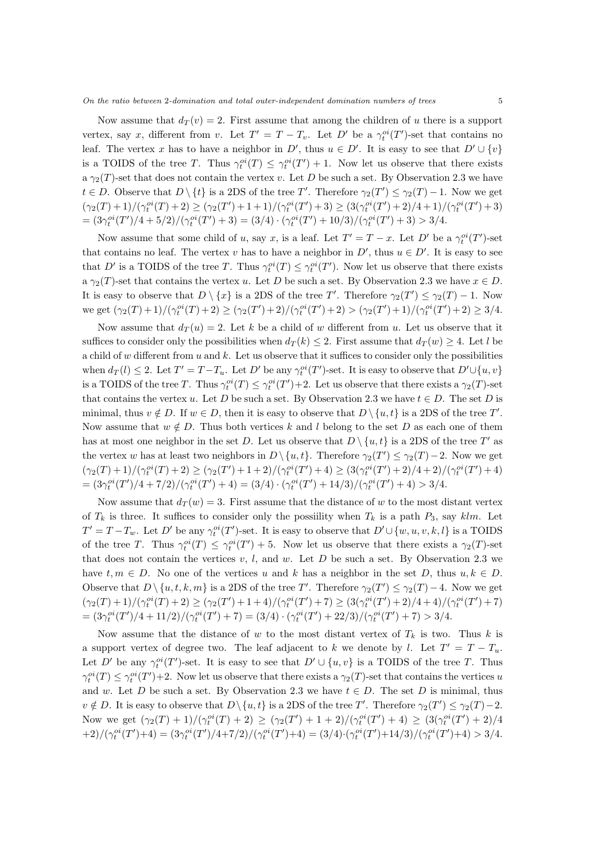Now assume that  $d_T(v) = 2$ . First assume that among the children of *u* there is a support vertex, say *x*, different from *v*. Let  $T' = T - T_v$ . Let  $D'$  be a  $\gamma_t^{oi}(T')$ -set that contains no leaf. The vertex x has to have a neighbor in  $D'$ , thus  $u \in D'$ . It is easy to see that  $D' \cup \{v\}$ is a TOIDS of the tree *T*. Thus  $\gamma_t^{oi}(T) \leq \gamma_t^{oi}(T') + 1$ . Now let us observe that there exists a  $\gamma_2(T)$ -set that does not contain the vertex *v*. Let *D* be such a set. By Observation 2.3 we have  $t \in D$ . Observe that  $D \setminus \{t\}$  is a 2DS of the tree *T'*. Therefore  $\gamma_2(T') \leq \gamma_2(T) - 1$ . Now we get  $(\gamma_2(T)+1)/(\gamma_t^{oi}(T)+2) \geq (\gamma_2(T')+1+1)/(\gamma_t^{oi}(T')+3) \geq (3(\gamma_t^{oi}(T')+2)/4+1)/(\gamma_t^{oi}(T')+3)$ =  $(3\gamma_t^{oi}(T')/4 + 5/2)/(\gamma_t^{oi}(T') + 3) = (3/4) \cdot (\gamma_t^{oi}(T') + 10/3)/(\gamma_t^{oi}(T') + 3) > 3/4.$ 

Now assume that some child of *u*, say *x*, is a leaf. Let  $T' = T - x$ . Let  $D'$  be a  $\gamma_t^{oi}(T')$ -set that contains no leaf. The vertex *v* has to have a neighbor in  $D'$ , thus  $u \in D'$ . It is easy to see that *D'* is a TOIDS of the tree *T*. Thus  $\gamma_t^{oi}(T) \leq \gamma_t^{oi}(T')$ . Now let us observe that there exists a  $\gamma_2(T)$ -set that contains the vertex *u*. Let *D* be such a set. By Observation 2.3 we have  $x \in D$ . It is easy to observe that  $D \setminus \{x\}$  is a 2DS of the tree *T'*. Therefore  $\gamma_2(T') \leq \gamma_2(T) - 1$ . Now we get  $(\gamma_2(T)+1)/(\gamma_t^{oi}(T)+2) \ge (\gamma_2(T')+2)/(\gamma_t^{oi}(T')+2) > (\gamma_2(T')+1)/(\gamma_t^{oi}(T')+2) \ge 3/4$ .

Now assume that  $d_T(u) = 2$ . Let *k* be a child of *w* different from *u*. Let us observe that it suffices to consider only the possibilities when  $d_T(k) \leq 2$ . First assume that  $d_T(w) \geq 4$ . Let *l* be a child of *w* different from *u* and *k*. Let us observe that it suffices to consider only the possibilities when  $d_T(l) \leq 2$ . Let  $T' = T - T_u$ . Let D' be any  $\gamma_t^{oi}(T')$ -set. It is easy to observe that  $D' \cup \{u, v\}$ is a TOIDS of the tree *T*. Thus  $\gamma_t^{oi}(T) \leq \gamma_t^{oi}(T') + 2$ . Let us observe that there exists a  $\gamma_2(T)$ -set that contains the vertex *u*. Let *D* be such a set. By Observation 2.3 we have  $t \in D$ . The set *D* is minimal, thus  $v \notin D$ . If  $w \in D$ , then it is easy to observe that  $D \setminus \{u, t\}$  is a 2DS of the tree  $T'$ . Now assume that  $w \notin D$ . Thus both vertices k and l belong to the set D as each one of them has at most one neighbor in the set *D*. Let us observe that  $D \setminus \{u, t\}$  is a 2DS of the tree  $T'$  as the vertex *w* has at least two neighbors in  $D \setminus \{u, t\}$ . Therefore  $\gamma_2(T') \leq \gamma_2(T) - 2$ . Now we get  $(\gamma_2(T)+1)/(\gamma_t^{oi}(T)+2) \geq (\gamma_2(T')+1+2)/(\gamma_t^{oi}(T')+4) \geq (3(\gamma_t^{oi}(T')+2)/4+2)/(\gamma_t^{oi}(T')+4)$ =  $(3\gamma_t^{oi}(T')/4 + 7/2)/(\gamma_t^{oi}(T') + 4) = (3/4) \cdot (\gamma_t^{oi}(T') + 14/3)/(\gamma_t^{oi}(T') + 4) > 3/4.$ 

Now assume that  $d_T(w) = 3$ . First assume that the distance of *w* to the most distant vertex of  $T_k$  is three. It suffices to consider only the possibility when  $T_k$  is a path  $P_3$ , say  $klm$ . Let  $T' = T - T_w$ . Let D' be any  $\gamma_t^{oi}(T')$ -set. It is easy to observe that  $D' \cup \{w, u, v, k, l\}$  is a TOIDS of the tree *T*. Thus  $\gamma_t^{oi}(T) \leq \gamma_t^{oi}(T') + 5$ . Now let us observe that there exists a  $\gamma_2(T)$ -set that does not contain the vertices  $v$ ,  $l$ , and  $w$ . Let  $D$  be such a set. By Observation 2.3 we have  $t, m \in D$ . No one of the vertices *u* and *k* has a neighbor in the set *D*, thus  $u, k \in D$ . Observe that  $D \setminus \{u, t, k, m\}$  is a 2DS of the tree *T'*. Therefore  $\gamma_2(T') \leq \gamma_2(T) - 4$ . Now we get  $(\gamma_2(T)+1)/(\gamma_t^{oi}(T)+2) \geq (\gamma_2(T')+1+4)/(\gamma_t^{oi}(T')+7) \geq (3(\gamma_t^{oi}(T')+2)/4+4)/(\gamma_t^{oi}(T')+7)$ =  $\frac{3\gamma_t^{oi}(T')}{4} + \frac{11}{2} / (\gamma_t^{oi}(T') + 7) = \frac{3}{4} \cdot (\gamma_t^{oi}(T') + \frac{22}{3} / (\gamma_t^{oi}(T') + 7) > \frac{3}{4}$ .

Now assume that the distance of *w* to the most distant vertex of  $T_k$  is two. Thus *k* is a support vertex of degree two. The leaf adjacent to *k* we denote by *l*. Let  $T' = T - T_u$ . Let *D'* be any  $\gamma_t^{oi}(T')$ -set. It is easy to see that  $D' \cup \{u, v\}$  is a TOIDS of the tree *T*. Thus  $\gamma_t^{oi}(T) \leq \gamma_t^{oi}(T') + 2$ . Now let us observe that there exists a  $\gamma_2(T)$ -set that contains the vertices *u* and *w*. Let *D* be such a set. By Observation 2.3 we have  $t \in D$ . The set *D* is minimal, thus  $v \notin D$ . It is easy to observe that  $D \setminus \{u, t\}$  is a 2DS of the tree *T'*. Therefore  $\gamma_2(T') \leq \gamma_2(T) - 2$ . Now we get  $(\gamma_2(T) + 1)/(\gamma_t^{oi}(T) + 2) \ge (\gamma_2(T') + 1 + 2)/(\gamma_t^{oi}(T') + 4) \ge (3(\gamma_t^{oi}(T') + 2)/4)$  $+2)/(\gamma_t^{oi}(T')+4) = (3\gamma_t^{oi}(T')/4+7/2)/(\gamma_t^{oi}(T')+4) = (3/4)\cdot(\gamma_t^{oi}(T')+14/3)/(\gamma_t^{oi}(T')+4) > 3/4.$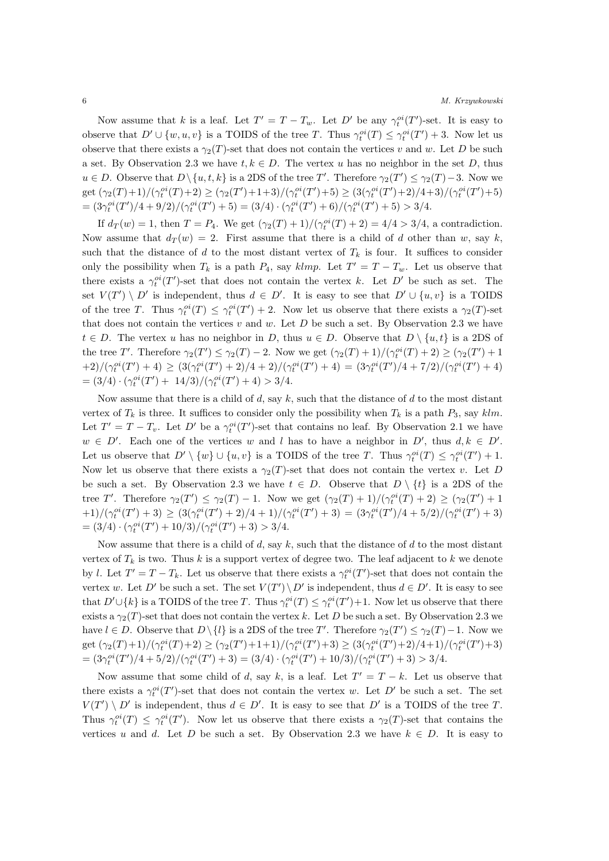Now assume that *k* is a leaf. Let  $T' = T - T_w$ . Let  $D'$  be any  $\gamma_t^{oi}(T')$ -set. It is easy to observe that  $D' \cup \{w, u, v\}$  is a TOIDS of the tree *T*. Thus  $\gamma_t^{oi}(T) \leq \gamma_t^{oi}(T') + 3$ . Now let us observe that there exists a  $\gamma_2(T)$ -set that does not contain the vertices *v* and *w*. Let *D* be such a set. By Observation 2.3 we have  $t, k \in D$ . The vertex *u* has no neighbor in the set *D*, thus  $u \in D$ . Observe that  $D \setminus \{u, t, k\}$  is a 2DS of the tree *T*'. Therefore  $\gamma_2(T') \leq \gamma_2(T) - 3$ . Now we get  $(\gamma_2(T)+1)/(\gamma_t^{oi}(T)+2) \ge (\gamma_2(T')+1+3)/(\gamma_t^{oi}(T')+5) \ge (3(\gamma_t^{oi}(T')+2)/4+3)/(\gamma_t^{oi}(T')+5)$ =  $(3\gamma_t^{oi}(T')/4 + 9/2)/(\gamma_t^{oi}(T') + 5) = (3/4) \cdot (\gamma_t^{oi}(T') + 6)/(\gamma_t^{oi}(T') + 5) > 3/4.$ 

If  $d_T(w) = 1$ , then  $T = P_4$ . We get  $(\gamma_2(T) + 1) / (\gamma_t^{oi}(T) + 2) = 4/4 > 3/4$ , a contradiction. Now assume that  $d_T(w) = 2$ . First assume that there is a child of *d* other than *w*, say *k*, such that the distance of  $d$  to the most distant vertex of  $T_k$  is four. It suffices to consider only the possibility when  $T_k$  is a path  $P_4$ , say  $klmp$ . Let  $T' = T - T_w$ . Let us observe that there exists a  $\gamma_t^{oi}(T')$ -set that does not contain the vertex *k*. Let *D'* be such as set. The set  $V(T') \setminus D'$  is independent, thus  $d \in D'$ . It is easy to see that  $D' \cup \{u, v\}$  is a TOIDS of the tree *T*. Thus  $\gamma_t^{oi}(T) \leq \gamma_t^{oi}(T') + 2$ . Now let us observe that there exists a  $\gamma_2(T)$ -set that does not contain the vertices *v* and *w*. Let *D* be such a set. By Observation 2.3 we have *t*  $∈$  *D*. The vertex *u* has no neighbor in *D*, thus  $u ∈ D$ . Observe that  $D \setminus \{u, t\}$  is a 2DS of the tree T'. Therefore  $\gamma_2(T') \leq \gamma_2(T) - 2$ . Now we get  $(\gamma_2(T) + 1)/(\gamma_t^{oi}(T) + 2) \geq (\gamma_2(T') + 1)$  $(1+2)/(\gamma_t^{oi}(T')+4) \geq (3(\gamma_t^{oi}(T')+2)/4+2)/(\gamma_t^{oi}(T')+4) = (3\gamma_t^{oi}(T')/4+7/2)/(\gamma_t^{oi}(T')+4)$  $= (3/4) \cdot (\gamma_t^{oi}(T') + 14/3) / (\gamma_t^{oi}(T') + 4) > 3/4.$ 

Now assume that there is a child of *d*, say *k*, such that the distance of *d* to the most distant vertex of  $T_k$  is three. It suffices to consider only the possibility when  $T_k$  is a path  $P_3$ , say  $klm$ . Let  $T' = T - T_v$ . Let  $D'$  be a  $\gamma_t^{oi}(T')$ -set that contains no leaf. By Observation 2.1 we have  $w \in D'$ . Each one of the vertices *w* and *l* has to have a neighbor in  $D'$ , thus  $d, k \in D'$ . Let us observe that  $D' \setminus \{w\} \cup \{u, v\}$  is a TOIDS of the tree T. Thus  $\gamma_t^{oi}(T) \leq \gamma_t^{oi}(T') + 1$ . Now let us observe that there exists a  $\gamma_2(T)$ -set that does not contain the vertex *v*. Let *D* be such a set. By Observation 2.3 we have  $t \in D$ . Observe that  $D \setminus \{t\}$  is a 2DS of the tree T'. Therefore  $\gamma_2(T') \leq \gamma_2(T) - 1$ . Now we get  $(\gamma_2(T) + 1)/(\gamma_t^{oi}(T) + 2) \geq (\gamma_2(T') + 1)$  $(1+1)/(\gamma_t^{oi}(T')+3) \geq (3(\gamma_t^{oi}(T')+2)/4+1)/(\gamma_t^{oi}(T')+3) = (3\gamma_t^{oi}(T')/4+5/2)/(\gamma_t^{oi}(T')+3)$  $= (3/4) \cdot (\gamma_t^{oi}(T') + 10/3) / (\gamma_t^{oi}(T') + 3) > 3/4.$ 

Now assume that there is a child of *d*, say *k*, such that the distance of *d* to the most distant vertex of  $T_k$  is two. Thus k is a support vertex of degree two. The leaf adjacent to k we denote by *l*. Let  $T' = T - T_k$ . Let us observe that there exists a  $\gamma_t^{oi}(T')$ -set that does not contain the vertex *w*. Let *D'* be such a set. The set  $V(T') \setminus D'$  is independent, thus  $d \in D'$ . It is easy to see that  $D' \cup \{k\}$  is a TOIDS of the tree *T*. Thus  $\gamma_t^{oi}(T) \leq \gamma_t^{oi}(T') + 1$ . Now let us observe that there exists a  $\gamma_2(T)$ -set that does not contain the vertex k. Let D be such a set. By Observation 2.3 we have  $l \in D$ . Observe that  $D \setminus \{l\}$  is a 2DS of the tree *T'*. Therefore  $\gamma_2(T') \leq \gamma_2(T) - 1$ . Now we get  $(\gamma_2(T)+1)/(\gamma_t^{oi}(T)+2) \ge (\gamma_2(T')+1+1)/(\gamma_t^{oi}(T')+3) \ge (3(\gamma_t^{oi}(T')+2)/4+1)/(\gamma_t^{oi}(T')+3)$ =  $(3\gamma_t^{oi}(T')/4 + 5/2)/(\gamma_t^{oi}(T') + 3) = (3/4) \cdot (\gamma_t^{oi}(T') + 10/3)/(\gamma_t^{oi}(T') + 3) > 3/4.$ 

Now assume that some child of *d*, say *k*, is a leaf. Let  $T' = T - k$ . Let us observe that there exists a  $\gamma_t^{oi}(T')$ -set that does not contain the vertex *w*. Let *D'* be such a set. The set  $V(T') \setminus D'$  is independent, thus  $d \in D'$ . It is easy to see that  $D'$  is a TOIDS of the tree *T*. Thus  $\gamma_t^{oi}(T) \leq \gamma_t^{oi}(T')$ . Now let us observe that there exists a  $\gamma_2(T)$ -set that contains the vertices *u* and *d*. Let *D* be such a set. By Observation 2.3 we have  $k \in D$ . It is easy to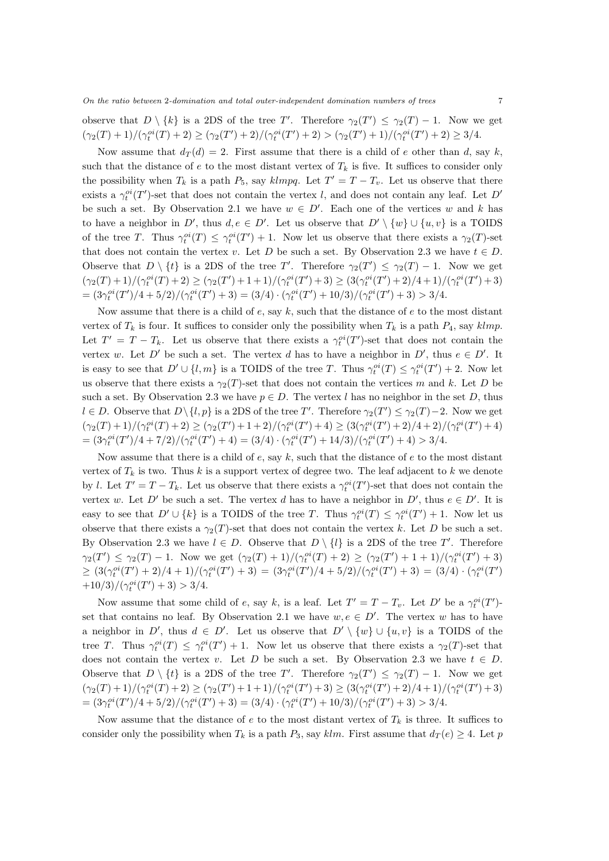observe that  $D \setminus \{k\}$  is a 2DS of the tree *T'*. Therefore  $\gamma_2(T') \leq \gamma_2(T) - 1$ . Now we get  $(\gamma_2(T)+1)/(\gamma_t^{oi}(T)+2) \geq (\gamma_2(T')+2)/(\gamma_t^{oi}(T')+2) > (\gamma_2(T')+1)/(\gamma_t^{oi}(T')+2) \geq 3/4.$ 

Now assume that  $d_T(d) = 2$ . First assume that there is a child of *e* other than *d*, say *k*, such that the distance of  $e$  to the most distant vertex of  $T_k$  is five. It suffices to consider only the possibility when  $T_k$  is a path  $P_5$ , say  $klmpq$ . Let  $T' = T - T_v$ . Let us observe that there exists a  $\gamma_t^{oi}(T')$ -set that does not contain the vertex *l*, and does not contain any leaf. Let *D'* be such a set. By Observation 2.1 we have  $w \in D'$ . Each one of the vertices *w* and *k* has to have a neighbor in D', thus  $d, e \in D'$ . Let us observe that  $D' \setminus \{w\} \cup \{u, v\}$  is a TOIDS of the tree *T*. Thus  $\gamma_t^{oi}(T) \leq \gamma_t^{oi}(T') + 1$ . Now let us observe that there exists a  $\gamma_2(T)$ -set that does not contain the vertex *v*. Let *D* be such a set. By Observation 2.3 we have  $t \in D$ . Observe that  $D \setminus \{t\}$  is a 2DS of the tree *T'*. Therefore  $\gamma_2(T') \leq \gamma_2(T) - 1$ . Now we get  $(\gamma_2(T)+1)/(\gamma_t^{oi}(T)+2) \geq (\gamma_2(T')+1+1)/(\gamma_t^{oi}(T')+3) \geq (3(\gamma_t^{oi}(T')+2)/4+1)/(\gamma_t^{oi}(T')+3)$ =  $(3\gamma_t^{oi}(T')/4 + 5/2)/(\gamma_t^{oi}(T') + 3) = (3/4) \cdot (\gamma_t^{oi}(T') + 10/3)/(\gamma_t^{oi}(T') + 3) > 3/4.$ 

Now assume that there is a child of *e*, say *k*, such that the distance of *e* to the most distant vertex of  $T_k$  is four. It suffices to consider only the possibility when  $T_k$  is a path  $P_4$ , say  $klmp$ . Let  $T' = T - T_k$ . Let us observe that there exists a  $\gamma_t^{oi}(T')$ -set that does not contain the vertex *w*. Let *D'* be such a set. The vertex *d* has to have a neighbor in *D'*, thus  $e \in D'$ . It is easy to see that  $D' \cup \{l, m\}$  is a TOIDS of the tree *T*. Thus  $\gamma_t^{oi}(T) \leq \gamma_t^{oi}(T') + 2$ . Now let us observe that there exists a  $\gamma_2(T)$ -set that does not contain the vertices *m* and *k*. Let *D* be such a set. By Observation 2.3 we have  $p \in D$ . The vertex *l* has no neighbor in the set *D*, thus  $l \in D$ . Observe that  $D \setminus \{l, p\}$  is a 2DS of the tree *T*'. Therefore  $\gamma_2(T') \leq \gamma_2(T) - 2$ . Now we get  $(\gamma_2(T)+1)/(\gamma_t^{oi}(T)+2) \geq (\gamma_2(T')+1+2)/(\gamma_t^{oi}(T')+4) \geq (3(\gamma_t^{oi}(T')+2)/4+2)/(\gamma_t^{oi}(T')+4)$ =  $(3\gamma_t^{oi}(T')/4 + 7/2)/(\gamma_t^{oi}(T') + 4) = (3/4) \cdot (\gamma_t^{oi}(T') + 14/3)/(\gamma_t^{oi}(T') + 4) > 3/4.$ 

Now assume that there is a child of *e*, say *k*, such that the distance of *e* to the most distant vertex of  $T_k$  is two. Thus  $k$  is a support vertex of degree two. The leaf adjacent to  $k$  we denote by *l*. Let  $T' = T - T_k$ . Let us observe that there exists a  $\gamma_t^{oi}(T')$ -set that does not contain the vertex *w*. Let *D'* be such a set. The vertex *d* has to have a neighbor in *D'*, thus  $e \in D'$ . It is easy to see that  $D' \cup \{k\}$  is a TOIDS of the tree *T*. Thus  $\gamma_t^{oi}(T) \leq \gamma_t^{oi}(T') + 1$ . Now let us observe that there exists a  $\gamma_2(T)$ -set that does not contain the vertex *k*. Let *D* be such a set. By Observation 2.3 we have  $l \in D$ . Observe that  $D \setminus \{l\}$  is a 2DS of the tree T'. Therefore  $\gamma_2(T') \leq \gamma_2(T) - 1$ . Now we get  $(\gamma_2(T) + 1)/(\gamma_t^{oi}(T) + 2) \geq (\gamma_2(T') + 1 + 1)/(\gamma_t^{oi}(T') + 3)$  $\geq (3(\gamma_t^{oi}(T')+2)/4+1)/(\gamma_t^{oi}(T')+3) = (3\gamma_t^{oi}(T')/4+5/2)/(\gamma_t^{oi}(T')+3) = (3/4)\cdot(\gamma_t^{oi}(T')$  $+10/3)/(\gamma_t^{oi}(T')+3) > 3/4.$ 

Now assume that some child of *e*, say *k*, is a leaf. Let  $T' = T - T_v$ . Let  $D'$  be a  $\gamma_t^{oi}(T')$ set that contains no leaf. By Observation 2.1 we have  $w, e \in D'$ . The vertex *w* has to have a neighbor in *D'*, thus  $d \in D'$ . Let us observe that  $D' \setminus \{w\} \cup \{u, v\}$  is a TOIDS of the tree *T*. Thus  $\gamma_t^{oi}(T) \leq \gamma_t^{oi}(T') + 1$ . Now let us observe that there exists a  $\gamma_2(T)$ -set that does not contain the vertex *v*. Let *D* be such a set. By Observation 2.3 we have  $t \in D$ . Observe that  $D \setminus \{t\}$  is a 2DS of the tree *T'*. Therefore  $\gamma_2(T') \leq \gamma_2(T) - 1$ . Now we get  $(\gamma_2(T)+1)/(\gamma_t^{oi}(T)+2) \geq (\gamma_2(T')+1+1)/(\gamma_t^{oi}(T')+3) \geq (3(\gamma_t^{oi}(T')+2)/4+1)/(\gamma_t^{oi}(T')+3)$ =  $(3\gamma_t^{oi}(T')/4 + 5/2)/(\gamma_t^{oi}(T') + 3) = (3/4) \cdot (\gamma_t^{oi}(T') + 10/3)/(\gamma_t^{oi}(T') + 3) > 3/4.$ 

Now assume that the distance of  $e$  to the most distant vertex of  $T_k$  is three. It suffices to consider only the possibility when  $T_k$  is a path  $P_3$ , say  $klm$ . First assume that  $d_T(e) \geq 4$ . Let *p*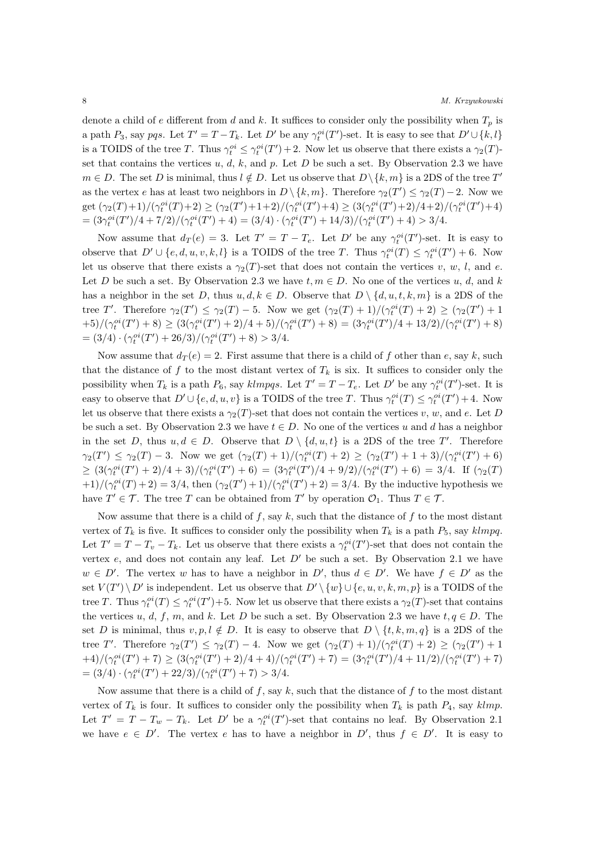denote a child of *e* different from *d* and *k*. It suffices to consider only the possibility when  $T_p$  is a path  $P_3$ , say pqs. Let  $T' = T - T_k$ . Let D' be any  $\gamma_t^{oi}(T')$ -set. It is easy to see that  $D' \cup \{k, l\}$ is a TOIDS of the tree *T*. Thus  $\gamma_t^{oi} \leq \gamma_t^{oi}(T') + 2$ . Now let us observe that there exists a  $\gamma_2(T)$ set that contains the vertices  $u, d, k$ , and  $p$ . Let  $D$  be such a set. By Observation 2.3 we have  $m \in D$ . The set *D* is minimal, thus  $l \notin D$ . Let us observe that  $D \setminus \{k, m\}$  is a 2DS of the tree  $T'$ as the vertex *e* has at least two neighbors in  $D \setminus \{k, m\}$ . Therefore  $\gamma_2(T') \leq \gamma_2(T) - 2$ . Now we get  $(\gamma_2(T)+1)/(\gamma_t^{oi}(T)+2) \geq (\gamma_2(T')+1+2)/(\gamma_t^{oi}(T')+4) \geq (3(\gamma_t^{oi}(T')+2)/4+2)/(\gamma_t^{oi}(T')+4)$ =  $(3\gamma_t^{oi}(T')/4 + 7/2)/(\gamma_t^{oi}(T') + 4) = (3/4) \cdot (\gamma_t^{oi}(T') + 14/3)/(\gamma_t^{oi}(T') + 4) > 3/4.$ 

Now assume that  $d_T(e) = 3$ . Let  $T' = T - T_e$ . Let  $D'$  be any  $\gamma_t^{oi}(T')$ -set. It is easy to observe that  $D' \cup \{e, d, u, v, k, l\}$  is a TOIDS of the tree *T*. Thus  $\gamma_t^{oi}(T) \leq \gamma_t^{oi}(T') + 6$ . Now let us observe that there exists a  $\gamma_2(T)$ -set that does not contain the vertices *v*, *w*, *l*, and *e*. Let *D* be such a set. By Observation 2.3 we have  $t, m \in D$ . No one of the vertices  $u, d$ , and  $k$ has a neighbor in the set *D*, thus  $u, d, k \in D$ . Observe that  $D \setminus \{d, u, t, k, m\}$  is a 2DS of the tree T'. Therefore  $\gamma_2(T') \leq \gamma_2(T) - 5$ . Now we get  $(\gamma_2(T) + 1)/(\gamma_t^{oi}(T) + 2) \geq (\gamma_2(T') + 1)$  $(+5)/(\gamma_t^{oi}(T')+8) \geq (3(\gamma_t^{oi}(T')+2)/4+5)/(\gamma_t^{oi}(T')+8) = (3\gamma_t^{oi}(T')/4+13/2)/(\gamma_t^{oi}(T')+8)$  $= (3/4) \cdot (\gamma_t^{oi}(T') + 26/3) / (\gamma_t^{oi}(T') + 8) > 3/4.$ 

Now assume that  $d_T(e) = 2$ . First assume that there is a child of f other than e, say k, such that the distance of  $f$  to the most distant vertex of  $T_k$  is six. It suffices to consider only the possibility when  $T_k$  is a path  $P_6$ , say  $klmpqs$ . Let  $T' = T - T_e$ . Let  $D'$  be any  $\gamma_t^{oi}(T')$ -set. It is easy to observe that  $D' \cup \{e, d, u, v\}$  is a TOIDS of the tree *T*. Thus  $\gamma_t^{oi}(T) \leq \gamma_t^{oi}(T') + 4$ . Now let us observe that there exists a  $\gamma_2(T)$ -set that does not contain the vertices *v*, *w*, and *e*. Let *D* be such a set. By Observation 2.3 we have  $t \in D$ . No one of the vertices *u* and *d* has a neighbor in the set *D*, thus  $u, d \in D$ . Observe that  $D \setminus \{d, u, t\}$  is a 2DS of the tree *T'*. Therefore  $\gamma_2(T') \leq \gamma_2(T) - 3$ . Now we get  $(\gamma_2(T) + 1)/(\gamma_t^{oi}(T) + 2) \geq (\gamma_2(T') + 1 + 3)/(\gamma_t^{oi}(T') + 6)$  $\geq (3(\gamma_t^{oi}(T')+2)/4+3)/(\gamma_t^{oi}(T')+6) = (3\gamma_t^{oi}(T')/4+9/2)/(\gamma_t^{oi}(T')+6) = 3/4.$  If  $(\gamma_2(T)$  $(1+1)/(\gamma_t^{oi}(T) + 2) = 3/4$ , then  $(\gamma_2(T') + 1)/(\gamma_t^{oi}(T') + 2) = 3/4$ . By the inductive hypothesis we have  $T' \in \mathcal{T}$ . The tree *T* can be obtained from  $T'$  by operation  $\mathcal{O}_1$ . Thus  $T \in \mathcal{T}$ .

Now assume that there is a child of *f*, say *k*, such that the distance of *f* to the most distant vertex of  $T_k$  is five. It suffices to consider only the possibility when  $T_k$  is a path  $P_5$ , say  $klmpq$ . Let  $T' = T - T_v - T_k$ . Let us observe that there exists a  $\gamma_t^{oi}(T')$ -set that does not contain the vertex  $e$ , and does not contain any leaf. Let  $D'$  be such a set. By Observation 2.1 we have  $w \in D'$ . The vertex *w* has to have a neighbor in *D'*, thus  $d \in D'$ . We have  $f \in D'$  as the set  $V(T')\ D'$  is independent. Let us observe that  $D'\setminus \{w\} \cup \{e, u, v, k, m, p\}$  is a TOIDS of the tree *T*. Thus  $\gamma_i^{oi}(T) \leq \gamma_i^{oi}(T') + 5$ . Now let us observe that there exists a  $\gamma_2(T)$ -set that contains the vertices  $u, d, f, m$ , and  $k$ . Let  $D$  be such a set. By Observation 2.3 we have  $t, q \in D$ . The set *D* is minimal, thus  $v, p, l \notin D$ . It is easy to observe that  $D \setminus \{t, k, m, q\}$  is a 2DS of the tree T'. Therefore  $\gamma_2(T') \leq \gamma_2(T) - 4$ . Now we get  $(\gamma_2(T) + 1)/(\gamma_t^{oi}(T) + 2) \geq (\gamma_2(T') + 1)$  $+4)/(\gamma_t^{oi}(T')+7) \geq (3(\gamma_t^{oi}(T')+2)/4+4)/(\gamma_t^{oi}(T')+7) = (3\gamma_t^{oi}(T')/4+11/2)/(\gamma_t^{oi}(T')+7)$  $= (3/4) \cdot (\gamma_t^{oi}(T') + 22/3) / (\gamma_t^{oi}(T') + 7) > 3/4.$ 

Now assume that there is a child of *f*, say *k*, such that the distance of *f* to the most distant vertex of  $T_k$  is four. It suffices to consider only the possibility when  $T_k$  is path  $P_4$ , say  $klmp$ . Let  $T' = T - T_w - T_k$ . Let  $D'$  be a  $\gamma_t^{oi}(T')$ -set that contains no leaf. By Observation 2.1 we have  $e \in D'$ . The vertex *e* has to have a neighbor in  $D'$ , thus  $f \in D'$ . It is easy to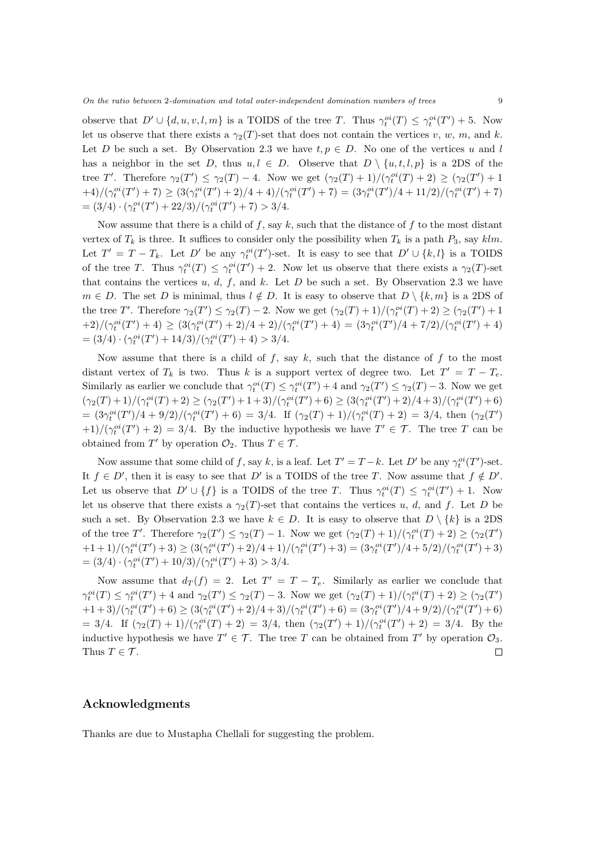observe that  $D' \cup \{d, u, v, l, m\}$  is a TOIDS of the tree *T*. Thus  $\gamma_t^{oi}(T) \leq \gamma_t^{oi}(T') + 5$ . Now let us observe that there exists a  $\gamma_2(T)$ -set that does not contain the vertices *v*, *w*, *m*, and *k*. Let *D* be such a set. By Observation 2.3 we have  $t, p \in D$ . No one of the vertices *u* and *l* has a neighbor in the set *D*, thus  $u, l \in D$ . Observe that  $D \setminus \{u, t, l, p\}$  is a 2DS of the tree T'. Therefore  $\gamma_2(T') \leq \gamma_2(T) - 4$ . Now we get  $(\gamma_2(T) + 1)/(\gamma_t^{oi}(T) + 2) \geq (\gamma_2(T') + 1)$  $+4)/(\gamma_t^{oi}(T')+7) \geq (3(\gamma_t^{oi}(T')+2)/4+4)/(\gamma_t^{oi}(T')+7) = (3\gamma_t^{oi}(T')/4+11/2)/(\gamma_t^{oi}(T')+7)$  $= (3/4) \cdot (\gamma_t^{oi}(T') + 22/3) / (\gamma_t^{oi}(T') + 7) > 3/4.$ 

Now assume that there is a child of *f*, say *k*, such that the distance of *f* to the most distant vertex of  $T_k$  is three. It suffices to consider only the possibility when  $T_k$  is a path  $P_3$ , say  $klm$ . Let  $T' = T - T_k$ . Let  $D'$  be any  $\gamma_t^{oi}(T')$ -set. It is easy to see that  $D' \cup \{k, l\}$  is a TOIDS of the tree *T*. Thus  $\gamma_t^{oi}(T) \leq \gamma_t^{oi}(T') + 2$ . Now let us observe that there exists a  $\gamma_2(T)$ -set that contains the vertices  $u, d, f$ , and  $k$ . Let  $D$  be such a set. By Observation 2.3 we have *m* ∈ *D*. The set *D* is minimal, thus *l* ∉ *D*. It is easy to observe that  $D \setminus \{k,m\}$  is a 2DS of the tree T'. Therefore  $\gamma_2(T') \leq \gamma_2(T) - 2$ . Now we get  $(\gamma_2(T) + 1)/(\gamma_t^{oi}(T) + 2) \geq (\gamma_2(T') + 1)$  $(1+2)/(\gamma_t^{oi}(T')+4) \geq (3(\gamma_t^{oi}(T')+2)/4+2)/(\gamma_t^{oi}(T')+4) = (3\gamma_t^{oi}(T')/4+7/2)/(\gamma_t^{oi}(T')+4)$  $= (3/4) \cdot (\gamma_t^{oi}(T') + 14/3) / (\gamma_t^{oi}(T') + 4) > 3/4.$ 

Now assume that there is a child of  $f$ , say  $k$ , such that the distance of  $f$  to the most distant vertex of  $T_k$  is two. Thus k is a support vertex of degree two. Let  $T' = T - T_e$ . Similarly as earlier we conclude that  $\gamma_t^{oi}(T) \leq \gamma_t^{oi}(T') + 4$  and  $\gamma_2(T') \leq \gamma_2(T) - 3$ . Now we get  $(\gamma_2(T)+1)/(\gamma_t^{oi}(T)+2) \geq (\gamma_2(T')+1+3)/(\gamma_t^{oi}(T')+6) \geq (3(\gamma_t^{oi}(T')+2)/4+3)/(\gamma_t^{oi}(T')+6)$  $= (3\gamma_t^{oi}(T')/4 + 9/2)/(\gamma_t^{oi}(T') + 6) = 3/4.$  If  $(\gamma_2(T) + 1)/(\gamma_t^{oi}(T) + 2) = 3/4$ , then  $(\gamma_2(T')$  $(1+1)/(\gamma_t^{oi}(T')+2) = 3/4$ . By the inductive hypothesis we have  $T' \in \mathcal{T}$ . The tree *T* can be obtained from  $T'$  by operation  $\mathcal{O}_2$ . Thus  $T \in \mathcal{T}$ .

Now assume that some child of *f*, say *k*, is a leaf. Let  $T' = T - k$ . Let  $D'$  be any  $\gamma_t^{oi}(T')$ -set. It  $f \in D'$ , then it is easy to see that  $D'$  is a TOIDS of the tree *T*. Now assume that  $f \notin D'$ . Let us observe that  $D' \cup \{f\}$  is a TOIDS of the tree *T*. Thus  $\gamma_t^{oi}(T) \leq \gamma_t^{oi}(T') + 1$ . Now let us observe that there exists a  $\gamma_2(T)$ -set that contains the vertices *u*, *d*, and *f*. Let *D* be such a set. By Observation 2.3 we have  $k \in D$ . It is easy to observe that  $D \setminus \{k\}$  is a 2DS of the tree T'. Therefore  $\gamma_2(T') \leq \gamma_2(T) - 1$ . Now we get  $(\gamma_2(T) + 1)/(\gamma_t^{oi}(T) + 2) \geq (\gamma_2(T'))$  $+1+1)/(\gamma_t^{oi}(T')+3)\geq (3(\gamma_t^{oi}(T')+2)/4+1)/(\gamma_t^{oi}(T')+3)=(3\gamma_t^{oi}(T')/4+5/2)/(\gamma_t^{oi}(T')+3)$  $= (3/4) \cdot (\gamma_t^{oi}(T') + 10/3) / (\gamma_t^{oi}(T') + 3) > 3/4.$ 

Now assume that  $d_T(f) = 2$ . Let  $T' = T - T_e$ . Similarly as earlier we conclude that  $\gamma_t^{oi}(T) \leq \gamma_t^{oi}(T') + 4$  and  $\gamma_2(T') \leq \gamma_2(T) - 3$ . Now we get  $(\gamma_2(T) + 1)/(\gamma_t^{oi}(T) + 2) \geq (\gamma_2(T')$  $+1+3)/(\gamma_t^{oi}(T')+6)\geq (3(\gamma_t^{oi}(T')+2)/4+3)/(\gamma_t^{oi}(T')+6)=(3\gamma_t^{oi}(T')/4+9/2)/(\gamma_t^{oi}(T')+6)$ = 3/4. If  $(\gamma_2(T) + 1)/(\gamma_t^{oi}(T) + 2) = 3/4$ , then  $(\gamma_2(T') + 1)/(\gamma_t^{oi}(T') + 2) = 3/4$ . By the inductive hypothesis we have  $T' \in \mathcal{T}$ . The tree *T* can be obtained from *T'* by operation  $\mathcal{O}_3$ . Thus  $T \in \mathcal{T}$ .  $\Box$ 

#### **Acknowledgments**

Thanks are due to Mustapha Chellali for suggesting the problem.